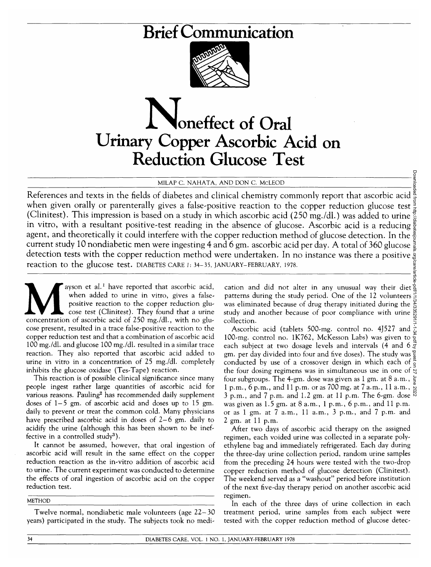# Brief Communication



# **Noneffect of Oral** Urinary Copper Ascorbic Acid on Reduction Glucose Test

### MILAP C. NAHATA, AND DON C. McLEOD

References and texts in the fields of diabetes and clinical chemistry commonly report that ascorbic acid when given orally or parenterally gives a false-positive reaction to the copper reduction glucose test (Clinitest). This impression is based on a study in which ascorbic acid (250 mg./dl.) was added to urine in vitro, with a resultant positive-test reading in the absence of glucose. Ascorbic acid is a reducing  $\frac{1}{8}$ agent, and theoretically it could interfere with the copper reduction method of glucose detection. In the  $\frac{3}{6}$ current study 10 nondiabetic men were ingesting 4 and 6 gm. ascorbic acid per day. A total of 360 glucose  $\frac{5}{8}$ detection tests with the copper reduction method were undertaken. In no instance was there a positive  $\frac{8}{3}$ reaction to the glucose test, DIABETES CARE J: 34-35, JANUARY-FEBRUARY, 1978.

ayson et al.<sup>1</sup> have reported that ascorbic acid, when added to urine in vitro, gives a false-<br>positive reaction to the copper reduction glu-<br>cose test (Clinitest). They found that a urine<br>concentration of ascorbic acid of ayson et al.<sup>1</sup> have reported that ascorbic acid, when added to urine in vitro, gives a falsepositive reaction to the copper reduction glucose test (Clinitest). They found that a urine cose present, resulted in a trace false-positive reaction to the copper reduction test and that a combination of ascorbic acid 100 mg./dl. and glucose 100 mg./dl. resulted in a similar trace reaction. They also reported that ascorbic acid added to urine in vitro in a concentration of 25 mg./dl. completely inhibits the glucose oxidase (Tes-Tape) reaction.

This reaction is of possible clinical significance since many people ingest rather large quantities of ascorbic acid for various reasons. Pauling<sup>2</sup> has recommended daily supplement doses of 1-5 gm. of ascorbic acid and doses up to 15 gm. daily to prevent or treat the common cold. Many physicians have prescribed ascorbic acid in doses of 2-6 gm. daily to acidify the urine (although this has been shown to be ineffective in a controlled study<sup>3</sup>).

It cannot be assumed, however, that oral ingestion of ascorbic acid will result in the same effect on the copper reduction reaction as the in-vitro addition of ascorbic acid to urine. The current experiment was conducted to determine the effects of oral ingestion of ascorbic acid on the copper reduction test.

METHOD

Twelve normal, nondiabetic male volunteers (age 22-30 years) participated in the study. The subjects took no medi-

cation and did not alter in any unusual way their diet  $\frac{8}{9}$ patterns during the study period. One of the 12 volunteers  $\geq$ was eliminated because of drug therapy initiated during the study and another because of poor compliance with urine collection.

Ascorbic acid (tablets 500-mg. control no. 4J527 and 100-mg. control no. 1K762, McKesson Labs) was given to each subject at two dosage levels and intervals (4 and 6  $\vec{g}$ gm. per day divided into four and five doses). The study was conducted by use of a crossover design in which each of the four dosing regimens was in simultaneous use in one of  $\frac{1}{2}$ four subgroups. The 4-gm. dose was given as 1 gm. at 8 a.m.,  $\frac{1}{5}$ 1 p.m.,  $\vec{6}$  p.m., and 11 p.m. or as 700 mg. at 7 a.m., 11 a.m.,  $\frac{9}{2}$ 3 p.m., and 7 p.m. and 1.2 gm. at 11 p.m. The 6-gm. dose  $\overline{S}$ was given as 1.5 gm. at 8 a.m., 1 p.m., 6 p.m., and 11 p.m. or as 1 gm. at 7 a.m., 11 a.m., 3 p.m., and 7 p.m. and 2 gm. at 11 p.m. Downloaded from http://diabetesjournals.org/care/article-pdf/1/1/34/335291/1-1-34.pdf by guest on 27 June 2022

After two days of ascorbic acid therapy on the assigned regimen, each voided urine was collected in a separate polyethylene bag and immediately refrigerated. Each day during the three-day urine collection period, random urine samples from the preceding 24 hours were tested with the two-drop copper reduction method of glucose detection (Clinitest). The weekend served as a "washout" period before institution of the next five-day therapy period on another ascorbic acid regimen.

In each of the three days of urine collection in each treatment period, urine samples from each subject were tested with the copper reduction method of glucose detec